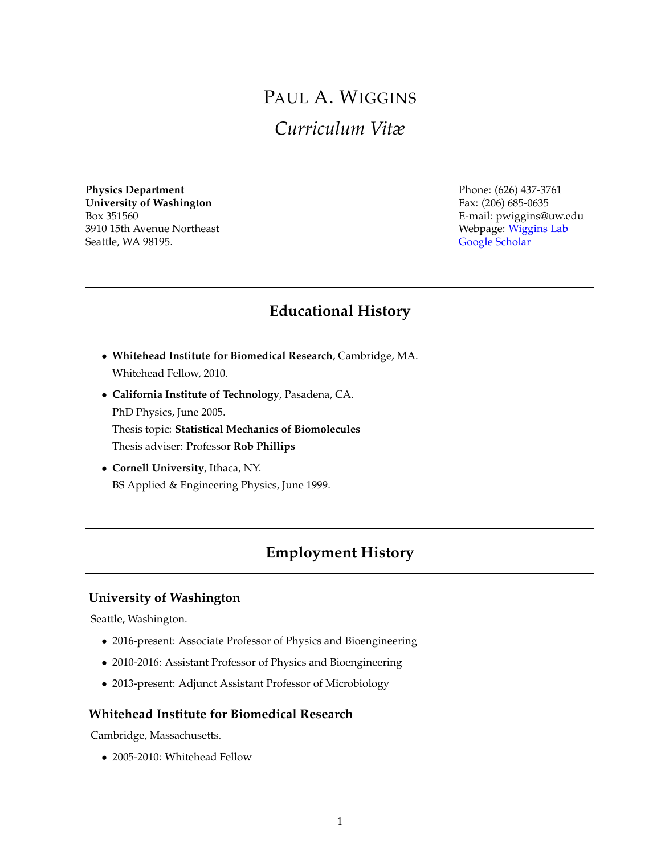# PAUL A. WIGGINS *Curriculum Vitæ*

**Physics Department**<br> **Phone:** (626) 437-3761<br> **Phone:** (626) 437-3761<br>
Fax: (206) 685-0635 **University of Washington** Box 351560 E-mail: pwiggins@uw.edu 3910 15th Avenue Northeast **Webpage:** [Wiggins Lab](http://mtshasta.phys.washington.edu/) Seattle, WA 98195. [Google Scholar](https://scholar.google.com/citations?user=fjGj_E0AAAAJ&hl=en)

# **Educational History**

- **Whitehead Institute for Biomedical Research**, Cambridge, MA. Whitehead Fellow, 2010.
- **California Institute of Technology**, Pasadena, CA. PhD Physics, June 2005. Thesis topic: **Statistical Mechanics of Biomolecules** Thesis adviser: Professor **Rob Phillips**
- **Cornell University**, Ithaca, NY. BS Applied & Engineering Physics, June 1999.

## **Employment History**

### **University of Washington**

Seattle, Washington.

- 2016-present: Associate Professor of Physics and Bioengineering
- 2010-2016: Assistant Professor of Physics and Bioengineering
- 2013-present: Adjunct Assistant Professor of Microbiology

### **Whitehead Institute for Biomedical Research**

Cambridge, Massachusetts.

• 2005-2010: Whitehead Fellow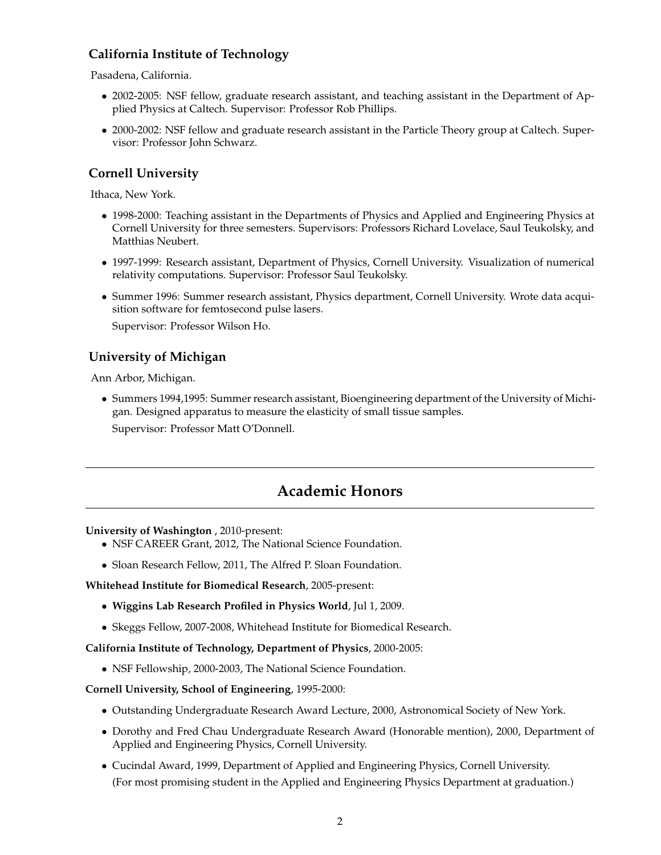### **California Institute of Technology**

Pasadena, California.

- 2002-2005: NSF fellow, graduate research assistant, and teaching assistant in the Department of Applied Physics at Caltech. Supervisor: Professor Rob Phillips.
- 2000-2002: NSF fellow and graduate research assistant in the Particle Theory group at Caltech. Supervisor: Professor John Schwarz.

### **Cornell University**

Ithaca, New York.

- 1998-2000: Teaching assistant in the Departments of Physics and Applied and Engineering Physics at Cornell University for three semesters. Supervisors: Professors Richard Lovelace, Saul Teukolsky, and Matthias Neubert.
- 1997-1999: Research assistant, Department of Physics, Cornell University. Visualization of numerical relativity computations. Supervisor: Professor Saul Teukolsky.
- Summer 1996: Summer research assistant, Physics department, Cornell University. Wrote data acquisition software for femtosecond pulse lasers.

Supervisor: Professor Wilson Ho.

### **University of Michigan**

Ann Arbor, Michigan.

• Summers 1994,1995: Summer research assistant, Bioengineering department of the University of Michigan. Designed apparatus to measure the elasticity of small tissue samples.

Supervisor: Professor Matt O'Donnell.

## **Academic Honors**

### **University of Washington** , 2010-present:

- NSF CAREER Grant, 2012, The National Science Foundation.
- Sloan Research Fellow, 2011, The Alfred P. Sloan Foundation.

**Whitehead Institute for Biomedical Research**, 2005-present:

- **Wiggins Lab Research Profiled in Physics World**, Jul 1, 2009.
- Skeggs Fellow, 2007-2008, Whitehead Institute for Biomedical Research.

**California Institute of Technology, Department of Physics**, 2000-2005:

• NSF Fellowship, 2000-2003, The National Science Foundation.

### **Cornell University, School of Engineering**, 1995-2000:

- Outstanding Undergraduate Research Award Lecture, 2000, Astronomical Society of New York.
- Dorothy and Fred Chau Undergraduate Research Award (Honorable mention), 2000, Department of Applied and Engineering Physics, Cornell University.
- Cucindal Award, 1999, Department of Applied and Engineering Physics, Cornell University. (For most promising student in the Applied and Engineering Physics Department at graduation.)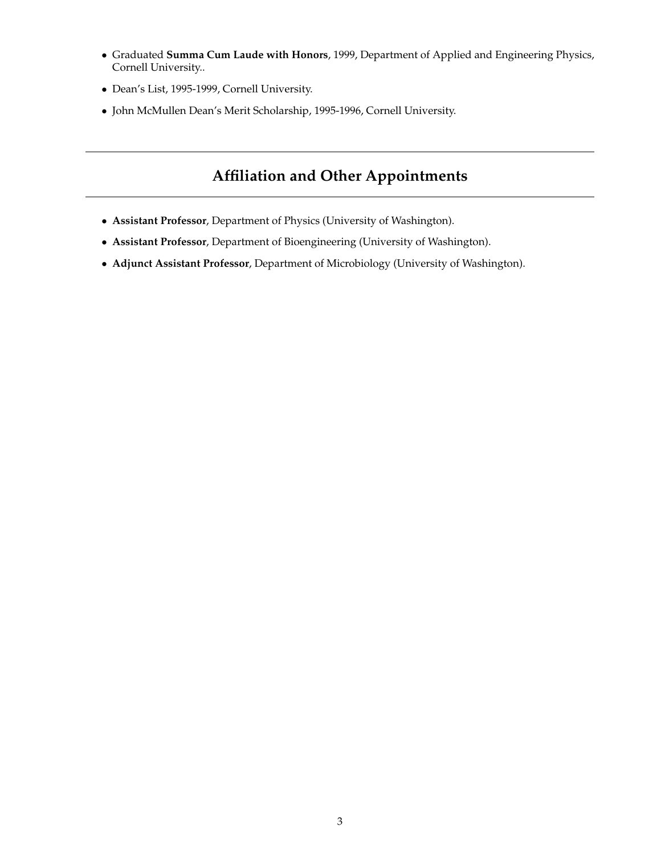- Graduated **Summa Cum Laude with Honors**, 1999, Department of Applied and Engineering Physics, Cornell University..
- Dean's List, 1995-1999, Cornell University.
- John McMullen Dean's Merit Scholarship, 1995-1996, Cornell University.

# **Affiliation and Other Appointments**

- **Assistant Professor**, Department of Physics (University of Washington).
- **Assistant Professor**, Department of Bioengineering (University of Washington).
- **Adjunct Assistant Professor**, Department of Microbiology (University of Washington).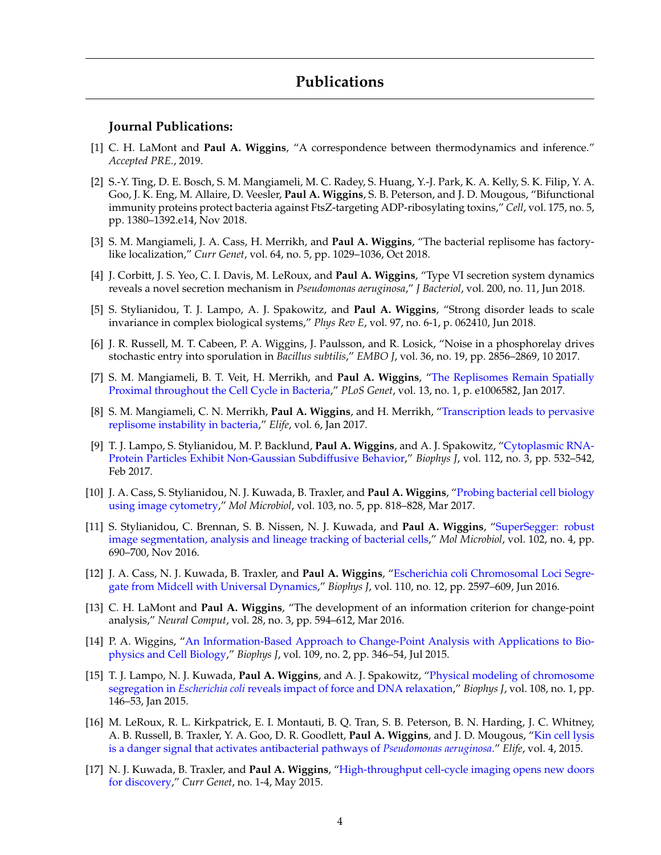#### **Journal Publications:**

- [1] C. H. LaMont and **Paul A. Wiggins**, "A correspondence between thermodynamics and inference." *Accepted PRE.*, 2019.
- [2] S.-Y. Ting, D. E. Bosch, S. M. Mangiameli, M. C. Radey, S. Huang, Y.-J. Park, K. A. Kelly, S. K. Filip, Y. A. Goo, J. K. Eng, M. Allaire, D. Veesler, **Paul A. Wiggins**, S. B. Peterson, and J. D. Mougous, "Bifunctional immunity proteins protect bacteria against FtsZ-targeting ADP-ribosylating toxins," *Cell*, vol. 175, no. 5, pp. 1380–1392.e14, Nov 2018.
- [3] S. M. Mangiameli, J. A. Cass, H. Merrikh, and **Paul A. Wiggins**, "The bacterial replisome has factorylike localization," *Curr Genet*, vol. 64, no. 5, pp. 1029–1036, Oct 2018.
- [4] J. Corbitt, J. S. Yeo, C. I. Davis, M. LeRoux, and **Paul A. Wiggins**, "Type VI secretion system dynamics reveals a novel secretion mechanism in *Pseudomonas aeruginosa*," *J Bacteriol*, vol. 200, no. 11, Jun 2018.
- [5] S. Stylianidou, T. J. Lampo, A. J. Spakowitz, and **Paul A. Wiggins**, "Strong disorder leads to scale invariance in complex biological systems," *Phys Rev E*, vol. 97, no. 6-1, p. 062410, Jun 2018.
- [6] J. R. Russell, M. T. Cabeen, P. A. Wiggins, J. Paulsson, and R. Losick, "Noise in a phosphorelay drives stochastic entry into sporulation in *Bacillus subtilis*," *EMBO J*, vol. 36, no. 19, pp. 2856–2869, 10 2017.
- [7] S. M. Mangiameli, B. T. Veit, H. Merrikh, and **Paul A. Wiggins**, ["The Replisomes Remain Spatially](http://journals.plos.org/plosgenetics/article?id=10.1371/journal.pgen.1006582) [Proximal throughout the Cell Cycle in Bacteria,](http://journals.plos.org/plosgenetics/article?id=10.1371/journal.pgen.1006582)" *PLoS Genet*, vol. 13, no. 1, p. e1006582, Jan 2017.
- [8] S. M. Mangiameli, C. N. Merrikh, **Paul A. Wiggins**, and H. Merrikh, ["Transcription leads to pervasive](https://elifesciences.org/content/6/e19848) [replisome instability in bacteria,](https://elifesciences.org/content/6/e19848)" *Elife*, vol. 6, Jan 2017.
- [9] T. J. Lampo, S. Stylianidou, M. P. Backlund, **Paul A. Wiggins**, and A. J. Spakowitz, ["Cytoplasmic RNA-](http://www.cell.com/biophysj/abstract/S0006-3495(16)34322-3)[Protein Particles Exhibit Non-Gaussian Subdiffusive Behavior,](http://www.cell.com/biophysj/abstract/S0006-3495(16)34322-3)" *Biophys J*, vol. 112, no. 3, pp. 532–542, Feb 2017.
- [10] J. A. Cass, S. Stylianidou, N. J. Kuwada, B. Traxler, and **Paul A. Wiggins**, ["Probing bacterial cell biology](http://onlinelibrary.wiley.com/doi/10.1111/mmi.13591/abstract) [using image cytometry,](http://onlinelibrary.wiley.com/doi/10.1111/mmi.13591/abstract)" *Mol Microbiol*, vol. 103, no. 5, pp. 818–828, Mar 2017.
- [11] S. Stylianidou, C. Brennan, S. B. Nissen, N. J. Kuwada, and **Paul A. Wiggins**, ["SuperSegger: robust](http://onlinelibrary.wiley.com/doi/10.1111/mmi.13486/abstract) [image segmentation, analysis and lineage tracking of bacterial cells,](http://onlinelibrary.wiley.com/doi/10.1111/mmi.13486/abstract)" *Mol Microbiol*, vol. 102, no. 4, pp. 690–700, Nov 2016.
- [12] J. A. Cass, N. J. Kuwada, B. Traxler, and **Paul A. Wiggins**, ["Escherichia coli Chromosomal Loci Segre](http://www.cell.com/biophysj/abstract/S0006-3495(16)30272-7)[gate from Midcell with Universal Dynamics,](http://www.cell.com/biophysj/abstract/S0006-3495(16)30272-7)" *Biophys J*, vol. 110, no. 12, pp. 2597–609, Jun 2016.
- [13] C. H. LaMont and **Paul A. Wiggins**, "The development of an information criterion for change-point analysis," *Neural Comput*, vol. 28, no. 3, pp. 594–612, Mar 2016.
- [14] P. A. Wiggins, ["An Information-Based Approach to Change-Point Analysis with Applications to Bio](http://www.sciencedirect.com/science/article/pii/S0006349515005524)[physics and Cell Biology,](http://www.sciencedirect.com/science/article/pii/S0006349515005524)" *Biophys J*, vol. 109, no. 2, pp. 346–54, Jul 2015.
- [15] T. J. Lampo, N. J. Kuwada, **Paul A. Wiggins**, and A. J. Spakowitz, ["Physical modeling of chromosome](http://web.stanford.edu/~ajspakow/publications/LKWS-dnapull.pdf) segregation in *Escherichia coli* [reveals impact of force and DNA relaxation,](http://web.stanford.edu/~ajspakow/publications/LKWS-dnapull.pdf)" *Biophys J*, vol. 108, no. 1, pp. 146–53, Jan 2015.
- [16] M. LeRoux, R. L. Kirkpatrick, E. I. Montauti, B. Q. Tran, S. B. Peterson, B. N. Harding, J. C. Whitney, A. B. Russell, B. Traxler, Y. A. Goo, D. R. Goodlett, **Paul A. Wiggins**, and J. D. Mougous, ["Kin cell lysis](http://www.ncbi.nlm.nih.gov/pmc/articles/PMC4348357/) [is a danger signal that activates antibacterial pathways of](http://www.ncbi.nlm.nih.gov/pmc/articles/PMC4348357/) *Pseudomonas aeruginosa*." *Elife*, vol. 4, 2015.
- [17] N. J. Kuwada, B. Traxler, and **Paul A. Wiggins**, ["High-throughput cell-cycle imaging opens new doors](http://link.springer.com/article/10.1007/s00294-015-0493-y/fulltext.html) [for discovery,](http://link.springer.com/article/10.1007/s00294-015-0493-y/fulltext.html)" *Curr Genet*, no. 1-4, May 2015.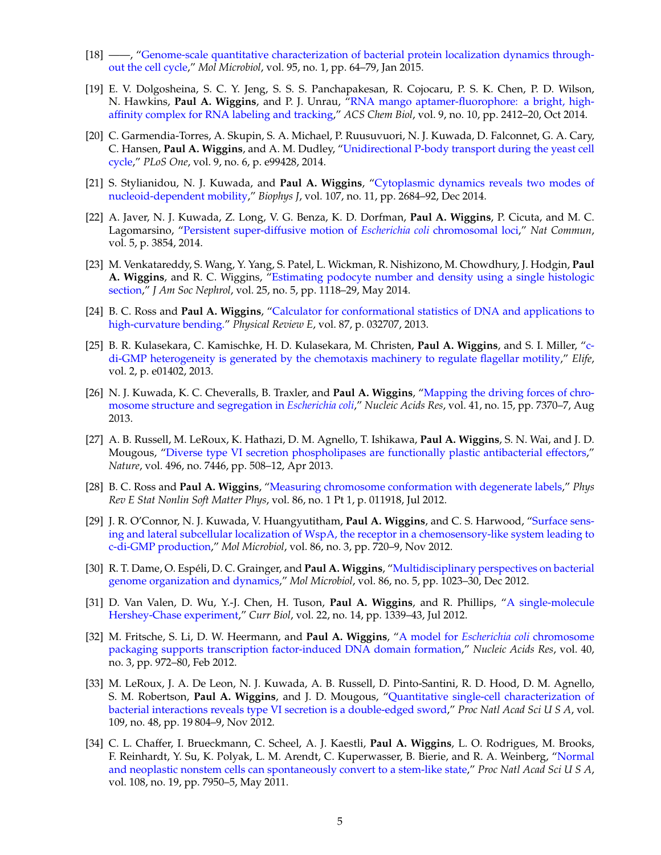- [18] ——, ["Genome-scale quantitative characterization of bacterial protein localization dynamics through](http://onlinelibrary.wiley.com/doi/10.1111/mmi.12841/full)[out the cell cycle,](http://onlinelibrary.wiley.com/doi/10.1111/mmi.12841/full)" *Mol Microbiol*, vol. 95, no. 1, pp. 64–79, Jan 2015.
- [19] E. V. Dolgosheina, S. C. Y. Jeng, S. S. S. Panchapakesan, R. Cojocaru, P. S. K. Chen, P. D. Wilson, N. Hawkins, **Paul A. Wiggins**, and P. J. Unrau, ["RNA mango aptamer-fluorophore: a bright, high](http://www.sfu.ca/~punrau/pdfs/Dolgosheina_2014.pdf)[affinity complex for RNA labeling and tracking,](http://www.sfu.ca/~punrau/pdfs/Dolgosheina_2014.pdf)" *ACS Chem Biol*, vol. 9, no. 10, pp. 2412–20, Oct 2014.
- [20] C. Garmendia-Torres, A. Skupin, S. A. Michael, P. Ruusuvuori, N. J. Kuwada, D. Falconnet, G. A. Cary, C. Hansen, **Paul A. Wiggins**, and A. M. Dudley, ["Unidirectional P-body transport during the yeast cell](http://dx.plos.org/10.1371/journal.pone.0099428) [cycle,](http://dx.plos.org/10.1371/journal.pone.0099428)" *PLoS One*, vol. 9, no. 6, p. e99428, 2014.
- [21] S. Stylianidou, N. J. Kuwada, and **Paul A. Wiggins**, ["Cytoplasmic dynamics reveals two modes of](http://www.sciencedirect.com/science/article/pii/S0006349514011126) [nucleoid-dependent mobility,](http://www.sciencedirect.com/science/article/pii/S0006349514011126)" *Biophys J*, vol. 107, no. 11, pp. 2684–92, Dec 2014.
- [22] A. Javer, N. J. Kuwada, Z. Long, V. G. Benza, K. D. Dorfman, **Paul A. Wiggins**, P. Cicuta, and M. C. Lagomarsino, ["Persistent super-diffusive motion of](http://www.poco.phy.cam.ac.uk/~pc245/Pietro-Papers/Persistent_loci_2014.pdf) *Escherichia coli* chromosomal loci," *Nat Commun*, vol. 5, p. 3854, 2014.
- [23] M. Venkatareddy, S. Wang, Y. Yang, S. Patel, L. Wickman, R. Nishizono, M. Chowdhury, J. Hodgin, **Paul A. Wiggins**, and R. C. Wiggins, ["Estimating podocyte number and density using a single histologic](http://jasn.asnjournals.org/content/25/5/1118.long) [section,](http://jasn.asnjournals.org/content/25/5/1118.long)" *J Am Soc Nephrol*, vol. 25, no. 5, pp. 1118–29, May 2014.
- [24] B. C. Ross and **Paul A. Wiggins**, ["Calculator for conformational statistics of DNA and applications to](http://journals.aps.org/pre/pdf/10.1103/PhysRevE.87.032707) [high-curvature bending."](http://journals.aps.org/pre/pdf/10.1103/PhysRevE.87.032707) *Physical Review E*, vol. 87, p. 032707, 2013.
- [25] B. R. Kulasekara, C. Kamischke, H. D. Kulasekara, M. Christen, **Paul A. Wiggins**, and S. I. Miller, ["c](http://www.ncbi.nlm.nih.gov/pmc/articles/PMC3861689/)[di-GMP heterogeneity is generated by the chemotaxis machinery to regulate flagellar motility,](http://www.ncbi.nlm.nih.gov/pmc/articles/PMC3861689/)" *Elife*, vol. 2, p. e01402, 2013.
- [26] N. J. Kuwada, K. C. Cheveralls, B. Traxler, and **Paul A. Wiggins**, ["Mapping the driving forces of chro](http://nar.oxfordjournals.org/content/early/2013/06/17/nar.gkt468.full)[mosome structure and segregation in](http://nar.oxfordjournals.org/content/early/2013/06/17/nar.gkt468.full) *Escherichia coli*," *Nucleic Acids Res*, vol. 41, no. 15, pp. 7370–7, Aug 2013.
- [27] A. B. Russell, M. LeRoux, K. Hathazi, D. M. Agnello, T. Ishikawa, **Paul A. Wiggins**, S. N. Wai, and J. D. Mougous, ["Diverse type VI secretion phospholipases are functionally plastic antibacterial effectors,](http://www.nature.com/nature/journal/v496/n7446/abs/nature12074.html)" *Nature*, vol. 496, no. 7446, pp. 508–12, Apr 2013.
- [28] B. C. Ross and **Paul A. Wiggins**, ["Measuring chromosome conformation with degenerate labels,](http://dspace.mit.edu/openaccess-disseminate/1721.1/74164)" *Phys Rev E Stat Nonlin Soft Matter Phys*, vol. 86, no. 1 Pt 1, p. 011918, Jul 2012.
- [29] J. R. O'Connor, N. J. Kuwada, V. Huangyutitham, **Paul A. Wiggins**, and C. S. Harwood, ["Surface sens](http://onlinelibrary.wiley.com/doi/10.1111/mmi.12013/full)[ing and lateral subcellular localization of WspA, the receptor in a chemosensory-like system leading to](http://onlinelibrary.wiley.com/doi/10.1111/mmi.12013/full) [c-di-GMP production,](http://onlinelibrary.wiley.com/doi/10.1111/mmi.12013/full)" *Mol Microbiol*, vol. 86, no. 3, pp. 720–9, Nov 2012.
- [30] R. T. Dame, O. Espéli, D. C. Grainger, and Paul A. Wiggins, ["Multidisciplinary perspectives on bacterial](http://onlinelibrary.wiley.com/doi/10.1111/mmi.12055/full) [genome organization and dynamics,](http://onlinelibrary.wiley.com/doi/10.1111/mmi.12055/full)" *Mol Microbiol*, vol. 86, no. 5, pp. 1023–30, Dec 2012.
- [31] D. Van Valen, D. Wu, Y.-J. Chen, H. Tuson, **Paul A. Wiggins**, and R. Phillips, ["A single-molecule](http://www.sciencedirect.com/science/article/pii/S0960982212005763) [Hershey-Chase experiment,](http://www.sciencedirect.com/science/article/pii/S0960982212005763)" *Curr Biol*, vol. 22, no. 14, pp. 1339–43, Jul 2012.
- [32] M. Fritsche, S. Li, D. W. Heermann, and **Paul A. Wiggins**, "A model for *[Escherichia coli](http://nar.oxfordjournals.org/content/40/3/972.long)* chromosome [packaging supports transcription factor-induced DNA domain formation,](http://nar.oxfordjournals.org/content/40/3/972.long)" *Nucleic Acids Res*, vol. 40, no. 3, pp. 972–80, Feb 2012.
- [33] M. LeRoux, J. A. De Leon, N. J. Kuwada, A. B. Russell, D. Pinto-Santini, R. D. Hood, D. M. Agnello, S. M. Robertson, **Paul A. Wiggins**, and J. D. Mougous, ["Quantitative single-cell characterization of](http://www.pnas.org/content/109/48/19804.full) [bacterial interactions reveals type VI secretion is a double-edged sword,](http://www.pnas.org/content/109/48/19804.full)" *Proc Natl Acad Sci U S A*, vol. 109, no. 48, pp. 19 804–9, Nov 2012.
- [34] C. L. Chaffer, I. Brueckmann, C. Scheel, A. J. Kaestli, **Paul A. Wiggins**, L. O. Rodrigues, M. Brooks, F. Reinhardt, Y. Su, K. Polyak, L. M. Arendt, C. Kuperwasser, B. Bierie, and R. A. Weinberg, ["Normal](http://www.pnas.org/content/108/19/7950.full) [and neoplastic nonstem cells can spontaneously convert to a stem-like state,](http://www.pnas.org/content/108/19/7950.full)" *Proc Natl Acad Sci U S A*, vol. 108, no. 19, pp. 7950–5, May 2011.